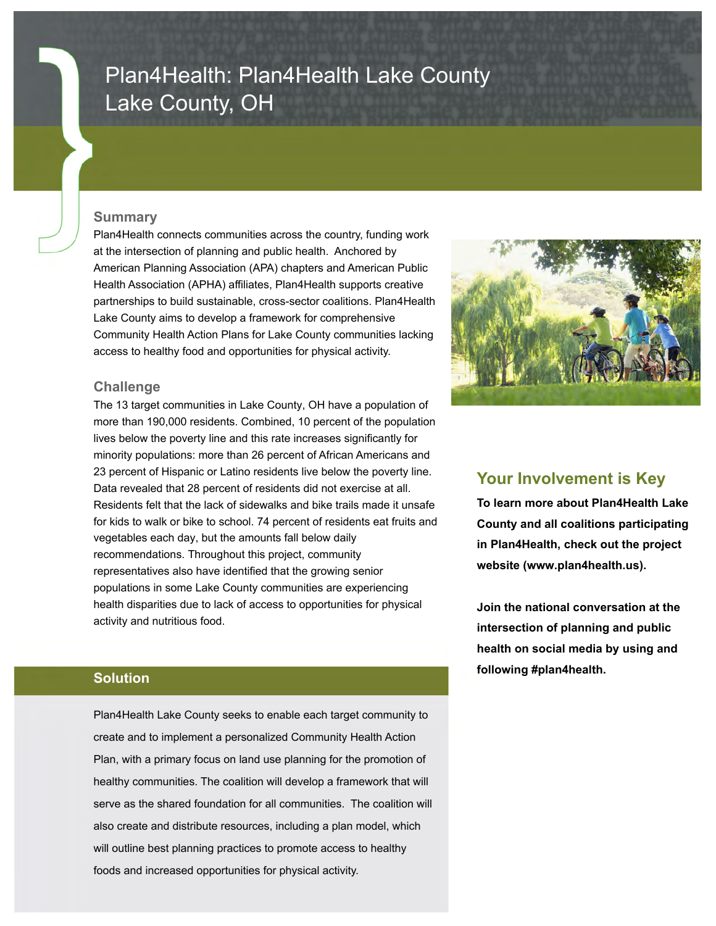# Plan4Health: Plan4Health Lake County Lake County, OH

### **Summary**

Plan4Health connects communities across the country, funding work at the intersection of planning and public health. Anchored by American Planning Association (APA) chapters and American Public Health Association (APHA) affiliates, Plan4Health supports creative partnerships to build sustainable, cross-sector coalitions. Plan4Health Lake County aims to develop a framework for comprehensive Community Health Action Plans for Lake County communities lacking access to healthy food and opportunities for physical activity.

## **Challenge**

The 13 target communities in Lake County, OH have a population of more than 190,000 residents. Combined, 10 percent of the population lives below the poverty line and this rate increases significantly for minority populations: more than 26 percent of African Americans and 23 percent of Hispanic or Latino residents live below the poverty line. Data revealed that 28 percent of residents did not exercise at all. Residents felt that the lack of sidewalks and bike trails made it unsafe for kids to walk or bike to school. 74 percent of residents eat fruits and vegetables each day, but the amounts fall below daily recommendations. Throughout this project, community representatives also have identified that the growing senior populations in some Lake County communities are experiencing health disparities due to lack of access to opportunities for physical activity and nutritious food.



# **Your Involvement is Key**

**To learn more about Plan4Health Lake County and all coalitions participating in Plan4Health, check out the project website (www.plan4health.us).** 

**Join the national conversation at the intersection of planning and public health on social media by using and following #plan4health.** 

## **Solution**

Plan4Health Lake County seeks to enable each target community to create and to implement a personalized Community Health Action Plan, with a primary focus on land use planning for the promotion of healthy communities. The coalition will develop a framework that will serve as the shared foundation for all communities. The coalition will also create and distribute resources, including a plan model, which will outline best planning practices to promote access to healthy foods and increased opportunities for physical activity.